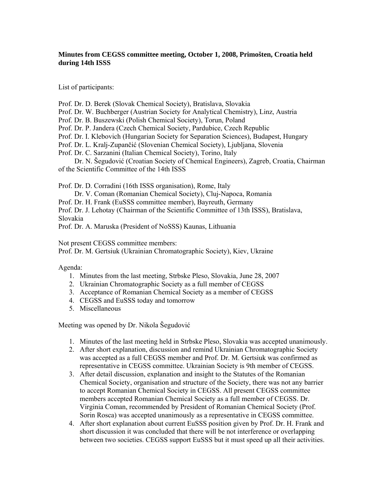## **Minutes from CEGSS committee meeting, October 1, 2008, Primošten, Croatia held during 14th ISSS**

List of participants:

- Prof. Dr. D. Berek (Slovak Chemical Society), Bratislava, Slovakia
- Prof. Dr. W. Buchberger (Austrian Society for Analytical Chemistry), Linz, Austria
- Prof. Dr. B. Buszewski (Polish Chemical Society), Torun, Poland
- Prof. Dr. P. Jandera (Czech Chemical Society, Pardubice, Czech Republic
- Prof. Dr. I. Klebovich (Hungarian Society for Separation Sciences), Budapest, Hungary
- Prof. Dr. L. Kralj-Zupančić (Slovenian Chemical Society), Ljubljana, Slovenia
- Prof. Dr. C. Sarzanini (Italian Chemical Society), Torino, Italy
- Dr. N. Šegudović (Croatian Society of Chemical Engineers), Zagreb, Croatia, Chairman of the Scientific Committee of the 14th ISSS

Prof. Dr. D. Corradini (16th ISSS organisation), Rome, Italy

- Dr. V. Coman (Romanian Chemical Society), Cluj-Napoca, Romania
- Prof. Dr. H. Frank (EuSSS committee member), Bayreuth, Germany
- Prof. Dr. J. Lehotay (Chairman of the Scientific Committee of 13th ISSS), Bratislava, Slovakia

Prof. Dr. A. Maruska (President of NoSSS) Kaunas, Lithuania

Not present CEGSS committee members:

Prof. Dr. M. Gertsiuk (Ukrainian Chromatographic Society), Kiev, Ukraine

Agenda:

- 1. Minutes from the last meeting, Strbske Pleso, Slovakia, June 28, 2007
- 2. Ukrainian Chromatographic Society as a full member of CEGSS
- 3. Acceptance of Romanian Chemical Society as a member of CEGSS
- 4. CEGSS and EuSSS today and tomorrow
- 5. Miscellaneous

Meeting was opened by Dr. Nikola Šegudović

- 1. Minutes of the last meeting held in Strbske Pleso, Slovakia was accepted unanimously.
- 2. After short explanation, discussion and remind Ukrainian Chromatographic Society was accepted as a full CEGSS member and Prof. Dr. M. Gertsiuk was confirmed as representative in CEGSS committee. Ukrainian Society is 9th member of CEGSS.
- 3. After detail discussion, explanation and insight to the Statutes of the Romanian Chemical Society, organisation and structure of the Society, there was not any barrier to accept Romanian Chemical Society in CEGSS. All present CEGSS committee members accepted Romanian Chemical Society as a full member of CEGSS. Dr. Virginia Coman, recommended by President of Romanian Chemical Society (Prof. Sorin Rosca) was accepted unanimously as a representative in CEGSS committee.
- 4. After short explanation about current EuSSS position given by Prof. Dr. H. Frank and short discussion it was concluded that there will be not interference or overlapping between two societies. CEGSS support EuSSS but it must speed up all their activities.